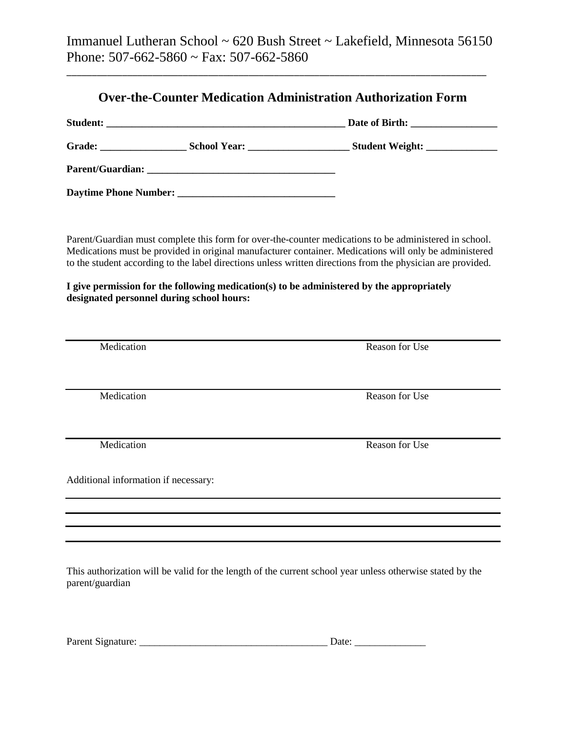Immanuel Lutheran School ~ 620 Bush Street ~ Lakefield, Minnesota 56150 Phone: 507-662-5860 ~ Fax: 507-662-5860

\_\_\_\_\_\_\_\_\_\_\_\_\_\_\_\_\_\_\_\_\_\_\_\_\_\_\_\_\_\_\_\_\_\_\_\_\_\_\_\_\_\_\_\_\_\_\_\_\_\_\_\_\_\_\_\_\_\_\_\_\_\_\_\_\_\_\_\_\_\_\_\_\_\_\_\_\_\_\_\_\_\_\_

|                                      |                                                                                                                                        | Parent/Guardian must complete this form for over-the-counter medications to be administered in school.<br>Medications must be provided in original manufacturer container. Medications will only be administered<br>to the student according to the label directions unless written directions from the physician are provided. |  |  |
|--------------------------------------|----------------------------------------------------------------------------------------------------------------------------------------|---------------------------------------------------------------------------------------------------------------------------------------------------------------------------------------------------------------------------------------------------------------------------------------------------------------------------------|--|--|
|                                      | I give permission for the following medication(s) to be administered by the appropriately<br>designated personnel during school hours: |                                                                                                                                                                                                                                                                                                                                 |  |  |
|                                      |                                                                                                                                        |                                                                                                                                                                                                                                                                                                                                 |  |  |
| Medication                           |                                                                                                                                        | <b>Reason for Use</b>                                                                                                                                                                                                                                                                                                           |  |  |
| Medication                           |                                                                                                                                        | <b>Reason for Use</b>                                                                                                                                                                                                                                                                                                           |  |  |
| Medication                           |                                                                                                                                        | <b>Reason for Use</b>                                                                                                                                                                                                                                                                                                           |  |  |
| Additional information if necessary: |                                                                                                                                        |                                                                                                                                                                                                                                                                                                                                 |  |  |
|                                      |                                                                                                                                        |                                                                                                                                                                                                                                                                                                                                 |  |  |

This authorization will be valid for the length of the current school year unless otherwise stated by the parent/guardian

| Parent Signature: |  |  |
|-------------------|--|--|
|                   |  |  |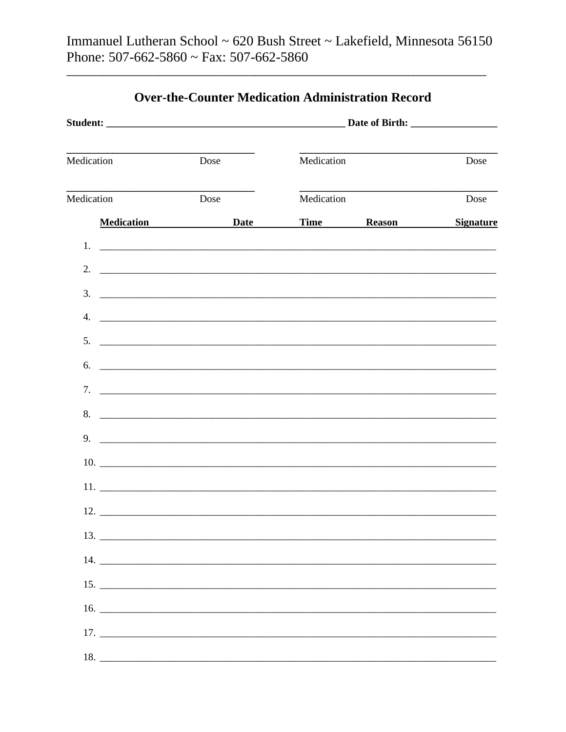| <u> 1989 - Johann Harry Barn, mars an t-Amerikaansk ferskeider (</u><br>Medication | Dose                                                                                                                                                                                                                                 | Medication |             | Dose             |
|------------------------------------------------------------------------------------|--------------------------------------------------------------------------------------------------------------------------------------------------------------------------------------------------------------------------------------|------------|-------------|------------------|
| Medication                                                                         | Dose                                                                                                                                                                                                                                 | Medication |             | Dose             |
|                                                                                    | Medication Date                                                                                                                                                                                                                      |            | Time Reason | <b>Signature</b> |
| $1_{\cdot}$                                                                        | <u> 1988 - Jan Barnett, fransk politiker (d. 1988)</u>                                                                                                                                                                               |            |             |                  |
| 2.                                                                                 | <u> Alexandro de Carlos de Carlos de Carlos de Carlos de Carlos de Carlos de Carlos de Carlos de Carlos de Carlos </u>                                                                                                               |            |             |                  |
| 3.                                                                                 | <u> 1988 - Johann Stoff, deutscher Stoff als der Stoff als der Stoff als der Stoff als der Stoff als der Stoff als der Stoff als der Stoff als der Stoff als der Stoff als der Stoff als der Stoff als der Stoff als der Stoff a</u> |            |             |                  |
| 4.                                                                                 |                                                                                                                                                                                                                                      |            |             |                  |
| 5.                                                                                 |                                                                                                                                                                                                                                      |            |             |                  |
| 6.                                                                                 |                                                                                                                                                                                                                                      |            |             |                  |
|                                                                                    |                                                                                                                                                                                                                                      |            |             |                  |
|                                                                                    |                                                                                                                                                                                                                                      |            |             |                  |
| 9.                                                                                 |                                                                                                                                                                                                                                      |            |             |                  |
|                                                                                    |                                                                                                                                                                                                                                      |            |             |                  |
|                                                                                    | $11.$ $\overline{\phantom{1}}$                                                                                                                                                                                                       |            |             |                  |
|                                                                                    |                                                                                                                                                                                                                                      |            |             |                  |
|                                                                                    |                                                                                                                                                                                                                                      |            |             |                  |
|                                                                                    |                                                                                                                                                                                                                                      |            |             |                  |
|                                                                                    |                                                                                                                                                                                                                                      |            |             |                  |
|                                                                                    |                                                                                                                                                                                                                                      |            |             |                  |
|                                                                                    |                                                                                                                                                                                                                                      |            |             |                  |
|                                                                                    |                                                                                                                                                                                                                                      |            |             |                  |

## **Over-the-Counter Medication Administration Record**